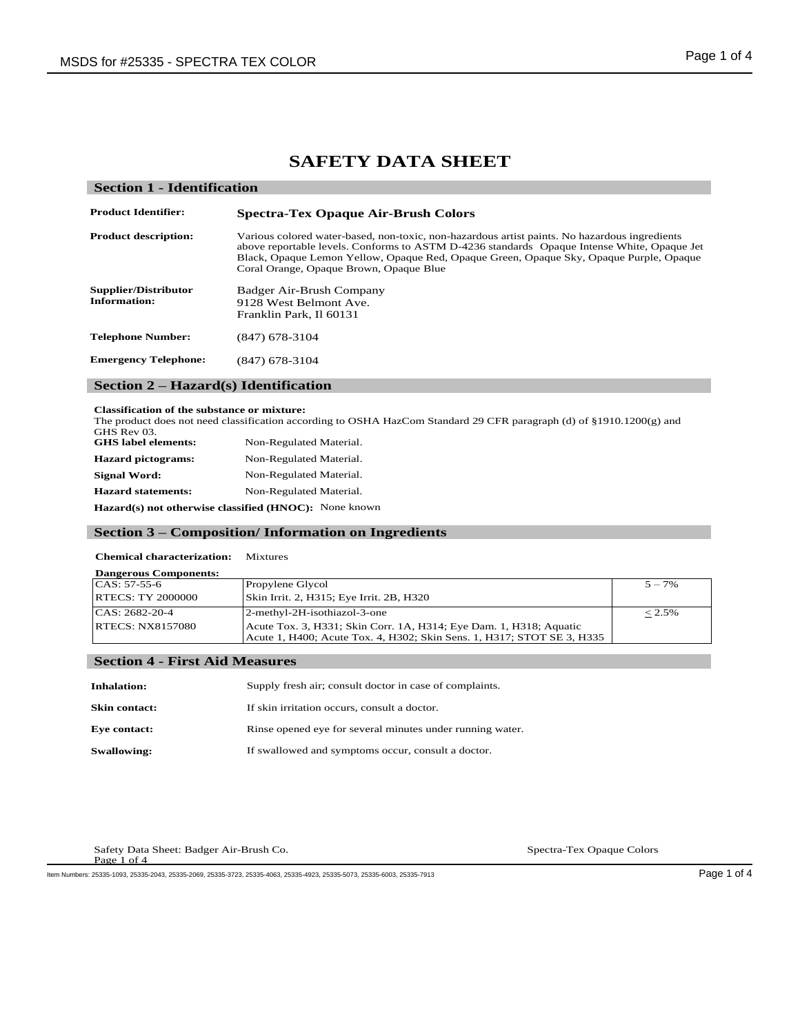# **SAFETY DATA SHEET**

| <b>Section 1 - Identification</b>      |                                                                                                                                                                                                                                                                                                                                    |  |  |
|----------------------------------------|------------------------------------------------------------------------------------------------------------------------------------------------------------------------------------------------------------------------------------------------------------------------------------------------------------------------------------|--|--|
| <b>Product Identifier:</b>             | <b>Spectra-Tex Opaque Air-Brush Colors</b>                                                                                                                                                                                                                                                                                         |  |  |
| <b>Product description:</b>            | Various colored water-based, non-toxic, non-hazardous artist paints. No hazardous ingredients<br>above reportable levels. Conforms to ASTM D-4236 standards Opaque Intense White, Opaque Jet<br>Black, Opaque Lemon Yellow, Opaque Red, Opaque Green, Opaque Sky, Opaque Purple, Opaque<br>Coral Orange, Opaque Brown, Opaque Blue |  |  |
| Supplier/Distributor<br>Information:   | Badger Air-Brush Company<br>9128 West Belmont Ave.<br>Franklin Park, Il 60131                                                                                                                                                                                                                                                      |  |  |
| <b>Telephone Number:</b>               | $(847)$ 678-3104                                                                                                                                                                                                                                                                                                                   |  |  |
| <b>Emergency Telephone:</b>            | $(847)$ 678-3104                                                                                                                                                                                                                                                                                                                   |  |  |
| Section $2 - Hazard(s)$ Identification |                                                                                                                                                                                                                                                                                                                                    |  |  |

#### **Classification of the substance or mixture:**

The product does not need classification according to OSHA HazCom Standard 29 CFR paragraph (d) of §1910.1200(g) and GHS Rev 03.<br>GHS label elements: **Non-Regulated Material. Hazard pictograms:** Non-Regulated Material.

Signal Word: Non-Regulated Material. **Hazard statements:** Non-Regulated Material.

**Hazard(s) not otherwise classified (HNOC):** None known

## **Section 3 – Composition/ Information on Ingredients**

#### **Chemical characterization:** Mixtures

| <b>Dangerous Components:</b> |                                                                                                                                              |           |
|------------------------------|----------------------------------------------------------------------------------------------------------------------------------------------|-----------|
| $CAS: 57-55-6$               | Propylene Glycol                                                                                                                             | $5 - 7\%$ |
| <b>RTECS: TY 2000000</b>     | Skin Irrit. 2, H315; Eye Irrit. 2B, H320                                                                                                     |           |
| CAS: 2682-20-4               | 2-methyl-2H-isothiazol-3-one                                                                                                                 | $< 2.5\%$ |
| <b>RTECS: NX8157080</b>      | Acute Tox. 3, H331; Skin Corr. 1A, H314; Eye Dam. 1, H318; Aquatic<br>Acute 1, H400; Acute Tox. 4, H302; Skin Sens. 1, H317; STOT SE 3, H335 |           |

# **Section 4 - First Aid Measures**

| <b>Inhalation:</b>   | Supply fresh air; consult doctor in case of complaints.   |
|----------------------|-----------------------------------------------------------|
| <b>Skin contact:</b> | If skin irritation occurs, consult a doctor.              |
| <b>Eve contact:</b>  | Rinse opened eye for several minutes under running water. |
| <b>Swallowing:</b>   | If swallowed and symptoms occur, consult a doctor.        |

Safety Data Sheet: Badger Air-Brush Co. Spectra-Tex Opaque Colors Page 1 of 4

Item Numbers: 25335-1093, 25335-2043, 25335-2069, 25335-3723, 25335-4063, 25335-4923, 25335-5073, 25335-6003, 25335-7913 Page 1 of 4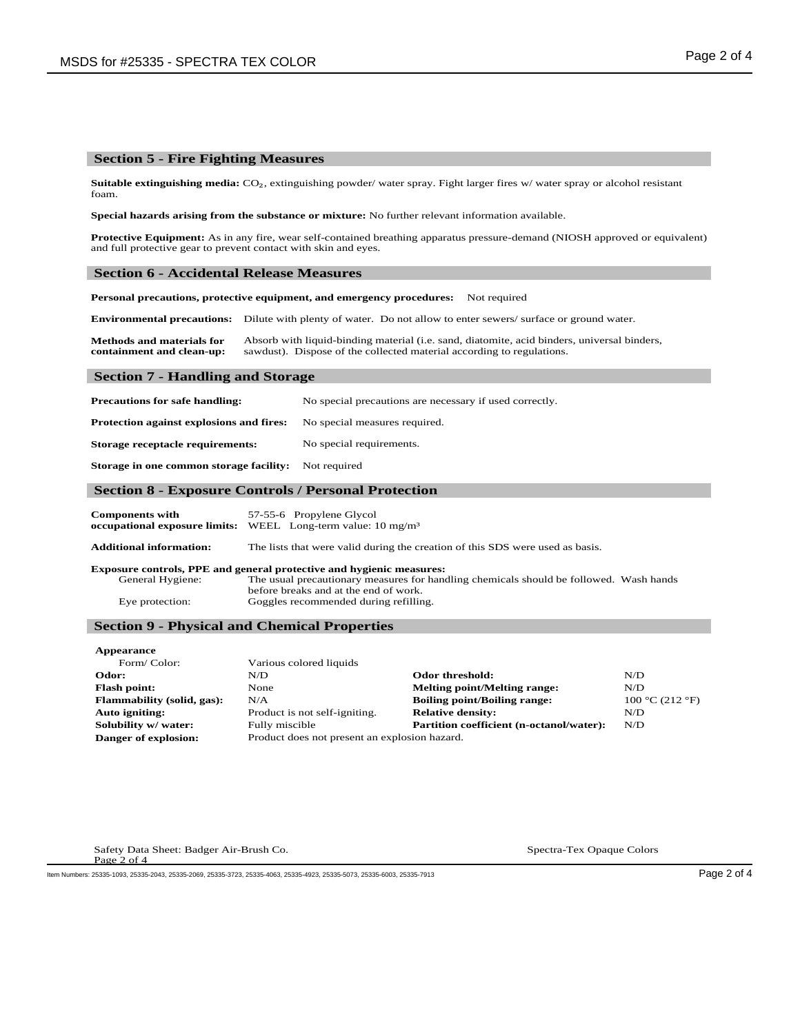#### **Section 5 - Fire Fighting Measures**

**Suitable extinguishing media:** CO₂, extinguishing powder/ water spray. Fight larger fires w/ water spray or alcohol resistant foam.

**Special hazards arising from the substance or mixture:** No further relevant information available.

**Protective Equipment:** As in any fire, wear self-contained breathing apparatus pressure-demand (NIOSH approved or equivalent) and full protective gear to prevent contact with skin and eyes.

#### **Section 6 - Accidental Release Measures**

**Personal precautions, protective equipment, and emergency procedures:** Not required

**Environmental precautions:** Dilute with plenty of water. Do not allow to enter sewers/ surface or ground water.

**Methods and materials for containment and clean-up:** Absorb with liquid-binding material (i.e. sand, diatomite, acid binders, universal binders, sawdust). Dispose of the collected material according to regulations.

#### **Section 7 - Handling and Storage**

**Precautions for safe handling:** No special precautions are necessary if used correctly. **Protection against explosions and fires:** No special measures required. **Storage receptacle requirements:** No special requirements. **Storage in one common storage facility:** Not required

#### **Section 8 - Exposure Controls / Personal Protection**

| <b>Components with</b> | 57-55-6 Propylene Glycol                                                |
|------------------------|-------------------------------------------------------------------------|
|                        | occupational exposure limits: WEEL Long-term value: $10 \text{ mg/m}^3$ |

**Additional information:** The lists that were valid during the creation of this SDS were used as basis.

**Exposure controls, PPE and general protective and hygienic measures:**<br>General Hygiene: The usual precautionary measures for hand The usual precautionary measures for handling chemicals should be followed. Wash hands before breaks and at the end of work. Eye protection: Goggles recommended during refilling.

#### **Section 9 - Physical and Chemical Properties**

| Various colored liquids       |                                          |                                               |
|-------------------------------|------------------------------------------|-----------------------------------------------|
| N/D                           | Odor threshold:                          | N/D                                           |
| None                          | <b>Melting point/Melting range:</b>      | N/D                                           |
| N/A                           | <b>Boiling point/Boiling range:</b>      | 100 °C (212 °F)                               |
| Product is not self-igniting. | <b>Relative density:</b>                 | N/D                                           |
| Fully miscible                | Partition coefficient (n-octanol/water): | N/D                                           |
|                               |                                          |                                               |
|                               |                                          | Product does not present an explosion hazard. |

Safety Data Sheet: Badger Air-Brush Co. Spectra-Tex Opaque Colors Spectra-Tex Opaque Colors Page 2 of 4

Item Numbers: 25335-1093, 25335-2043, 25335-2069, 25335-3723, 25335-4063, 25335-4923, 25335-5073, 25335-6003, 25335-7913 Page 2 of 4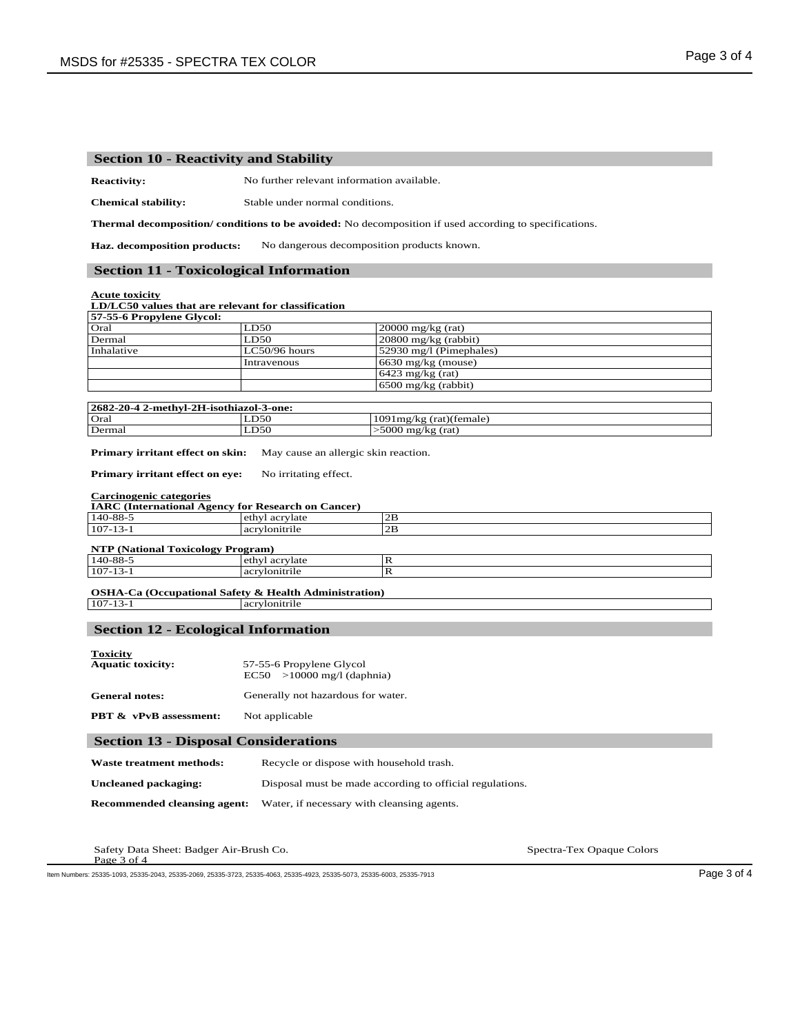### **Section 10 - Reactivity and Stability**

**Reactivity:** No further relevant information available.

**Chemical stability:** Stable under normal conditions.

**Thermal decomposition/ conditions to be avoided:** No decomposition if used according to specifications.

**Haz. decomposition products:** No dangerous decomposition products known.

#### **Section 11 - Toxicological Information**

**Acute toxicity**

#### **LD/LC50 values that are relevant for classification**

| 57-55-6 Propylene Glycol: |                 |                           |
|---------------------------|-----------------|---------------------------|
| Oral                      | LD50            | $20000$ mg/kg (rat)       |
| Dermal                    | LD50            | $20800$ mg/kg (rabbit)    |
| Inhalative                | $LC50/96$ hours | $52930$ mg/l (Pimephales) |
|                           | Intravenous     | $6630$ mg/kg (mouse)      |
|                           |                 | 6423 mg/kg (rat)          |
|                           |                 | $6500$ mg/kg (rabbit)     |
|                           |                 |                           |

| 2682-20-4 2-methyl-2H-isothiazol-3-one: |      |                            |  |
|-----------------------------------------|------|----------------------------|--|
| Oral                                    | LD50 | $1091$ mg/kg (rat)(female) |  |
| Dermal                                  | LD50 | >5000 mg/kg (rat)          |  |

**Primary irritant effect on skin:** May cause an allergic skin reaction.

**Primary irritant effect on eye:** No irritating effect.

#### **Carcinogenic categories**

|  | <b>IARC</b> (International Agency for Research on Cancer) |  |
|--|-----------------------------------------------------------|--|
|  |                                                           |  |

| 140-88-5                                 | ethyl acrylate | 2В |
|------------------------------------------|----------------|----|
| $107 - 13 - 1$                           | acrylonitrile  | 2В |
| <b>NTP (National Toxicology Program)</b> |                |    |
| 140-88-5                                 | ethyl acrylate |    |
| $107 - 13 - 1$                           | acrylonitrile  |    |

# **OSHA-Ca (Occupational Safety & Health Administration)**<br>107-13-1 **ary local acceptance**

acrylonitrile

#### **Section 12 - Ecological Information**

| <b>Toxicity</b>          | 57-55-6 Propylene Glycol           |
|--------------------------|------------------------------------|
| <b>Aquatic toxicity:</b> | $EC50$ >10000 mg/l (daphnia)       |
| <b>General notes:</b>    | Generally not hazardous for water. |

**PBT & vPvB assessment:** Not applicable

#### **Section 13 - Disposal Considerations**

| Waste treatment methods:     | Recycle or dispose with household trash.                 |
|------------------------------|----------------------------------------------------------|
| Uncleaned packaging:         | Disposal must be made according to official regulations. |
| Recommended cleansing agent: | Water, if necessary with cleansing agents.               |

Safety Data Sheet: Badger Air-Brush Co. Spectra-Tex Opaque Colors Page 3 of 4

Item Numbers: 25335-1093, 25335-2043, 25335-2069, 25335-3723, 25335-4063, 25335-4923, 25335-5073, 25335-6003, 25335-7913 Page 3 of 4